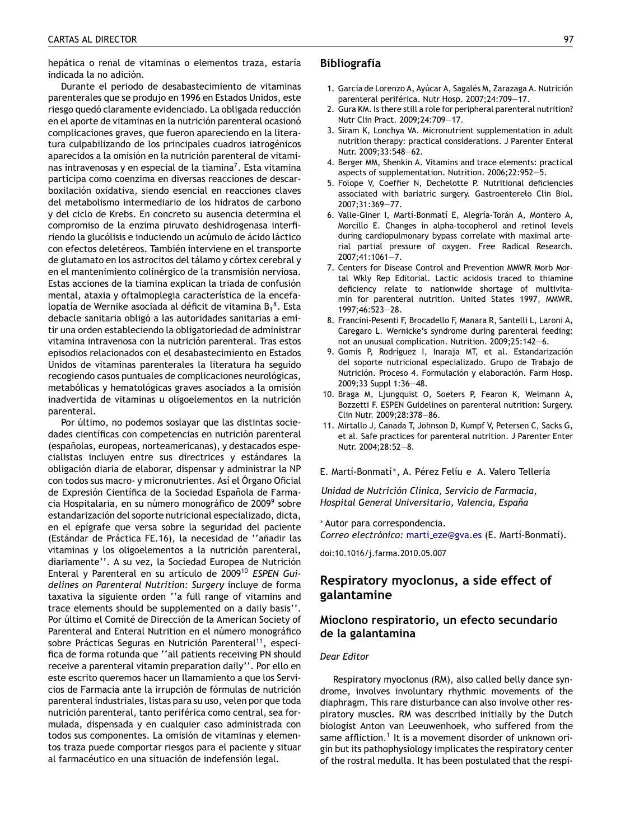hepática o renal de vitaminas o elementos traza, estaría indicada la no adición.

Durante el periodo de desabastecimiento de vitaminas parenterales que se produjo en 1996 en Estados Unidos, este riesgo quedó claramente evidenciado. La obligada reducción en el aporte de vitaminas en la nutrición parenteral ocasionó complicaciones graves, que fueron apareciendo en la literatura culpabilizando de los principales cuadros iatrogénicos aparecidos a la omisión en la nutrición parenteral de vitaminas intravenosas y en especial de la tiamina<sup>7</sup>. Esta vitamina participa como coenzima en diversas reacciones de descarboxilación oxidativa, siendo esencial en reacciones claves del metabolismo intermediario de los hidratos de carbono y del ciclo de Krebs. En concreto su ausencia determina el compromiso de la enzima piruvato deshidrogenasa interfiriendo la glucólisis e induciendo un acúmulo de ácido láctico con efectos deletéreos. También interviene en el transporte de glutamato en los astrocitos del tálamo y córtex cerebral y en el mantenimiento colinérgico de la transmisión nerviosa. Estas acciones de la tiamina explican la triada de confusión mental, ataxia y oftalmoplegia característica de la encefalopatía de Wernike asociada al déficit de vitamina B $_1{}^8.$  Esta debacle sanitaria obligó a las autoridades sanitarias a emitir una orden estableciendo la obligatoriedad de administrar vitamina intravenosa con la nutrición parenteral. Tras estos episodios relacionados con el desabastecimiento en Estados Unidos de vitaminas parenterales la literatura ha seguido recogiendo casos puntuales de complicaciones neurológicas, metabólicas y hematológicas graves asociados a la omisión inadvertida de vitaminas u oligoelementos en la nutrición parenteral.

Por último, no podemos soslayar que las distintas sociedades científicas con competencias en nutrición parenteral (españolas, europeas, norteamericanas), y destacados especialistas incluyen entre sus directrices y estándares la obligación diaria de elaborar, dispensar y administrar la NP con todos sus macro- y micronutrientes. Así el Órgano Oficial de Expresión Científica de la Sociedad Española de Farmacia Hospitalaria, en su número monográfico de 2009<sup>9</sup> sobre estandarización del soporte nutricional especializado, dicta, en el epígrafe que versa sobre la seguridad del paciente (Estándar de Práctica FE.16), la necesidad de "añadir las vitaminas y los oligoelementos a la nutrición parenteral, diariamente''. A su vez, la Sociedad Europea de Nutrición Enteral y Parenteral en su artículo de 2009<sup>10</sup> *ESPEN Guidelines on Parenteral Nutrition: Surgery* incluye de forma taxativa la siguiente orden ''a full range of vitamins and trace elements should be supplemented on a daily basis''. Por último el Comité de Dirección de la American Society of Parenteral and Enteral Nutrition en el número monográfico sobre Prácticas Seguras en Nutrición Parenteral<sup>11</sup>, especifica de forma rotunda que ''all patients receiving PN should receive a parenteral vitamin preparation daily''. Por ello en este escrito queremos hacer un llamamiento a que los Servicios de Farmacia ante la irrupción de fórmulas de nutrición parenteral industriales, listas para su uso, velen por que toda nutrición parenteral, tanto periférica como central, sea formulada, dispensada y en cualquier caso administrada con todos sus componentes. La omisión de vitaminas y elementos traza puede comportar riesgos para el paciente y situar al farmacéutico en una situación de indefensión legal.

### **Bibliografía**

- 1. García de Lorenzo A, Ayúcar A, Sagalés M, Zarazaga A. Nutrición parenteral periférica. Nutr Hosp. 2007;24:709—17.
- 2. Gura KM. Is there still a role for peripheral parenteral nutrition? Nutr Clin Pract. 2009;24:709—17.
- 3. Siram K, Lonchya VA. Micronutrient supplementation in adult nutrition therapy: practical considerations. J Parenter Enteral Nutr. 2009;33:548—62.
- 4. Berger MM, Shenkin A. Vitamins and trace elements: practical aspects of supplementation. Nutrition. 2006;22:952—5.
- 5. Folope V, Coeffier N, Dechelotte P. Nutritional deficiencies associated with bariatric surgery. Gastroenterelo Clin Biol. 2007;31:369—77.
- 6. Valle-Giner I, Martí-Bonmatí E, Alegría-Torán A, Montero A, Morcillo E. Changes in alpha-tocopherol and retinol levels during cardiopulmonary bypass correlate with maximal arterial partial pressure of oxygen. Free Radical Research. 2007;41:1061—7.
- 7. Centers for Disease Control and Prevention MMWR Morb Mortal Wkly Rep Editorial. Lactic acidosis traced to thiamine deficiency relate to nationwide shortage of multivitamin for parenteral nutrition. United States 1997, MMWR. 1997;46:523—28.
- 8. Francini-Pesenti F, Brocadello F, Manara R, Santelli L, Laroni A, Caregaro L. Wernicke's syndrome during parenteral feeding: not an unusual complication. Nutrition. 2009;25:142—6.
- 9. Gomis P, Rodríguez I, Inaraja MT, et al. Estandarización del soporte nutricional especializado. Grupo de Trabajo de Nutrición. Proceso 4. Formulación y elaboración. Farm Hosp. 2009;33 Suppl 1:36—48.
- 10. Braga M, Ljungquist O, Soeters P, Fearon K, Weimann A, Bozzetti F. ESPEN Guidelines on parenteral nutrition: Surgery. Clin Nutr. 2009;28:378—86.
- 11. Mirtallo J, Canada T, Johnson D, Kumpf V, Petersen C, Sacks G, et al. Safe practices for parenteral nutrition. J Parenter Enter Nutr. 2004;28:52—8.

#### E. Martí-Bonmatí <sup>∗</sup>, A. Pérez Felíu e A. Valero Tellería

*Unidad de Nutrición Clínica, Servicio de Farmacia, Hospital General Universitario, Valencia, Espana˜*

#### <sup>∗</sup> Autor para correspondencia.

*Correo electrónico:* marti [eze@gva.es](mailto:marti_eze@gva.es) (E. Martí-Bonmatí).

doi:10.1016/j.farma.2010.05.007

# **Respiratory myoclonus, a side effect of galantamine**

## **Mioclono respiratorio, un efecto secundario de la galantamina**

#### *Dear Editor*

Respiratory myoclonus (RM), also called belly dance syndrome, involves involuntary rhythmic movements of the diaphragm. This rare disturbance can also involve other respiratory muscles. RM was described initially by the Dutch biologist Anton van Leeuwenhoek, who suffered from the same affliction.<sup>[1](#page-2-0)</sup> It is a movement disorder of unknown origin but its pathophysiology implicates the respiratory center of the rostral medulla. It has been postulated that the respi-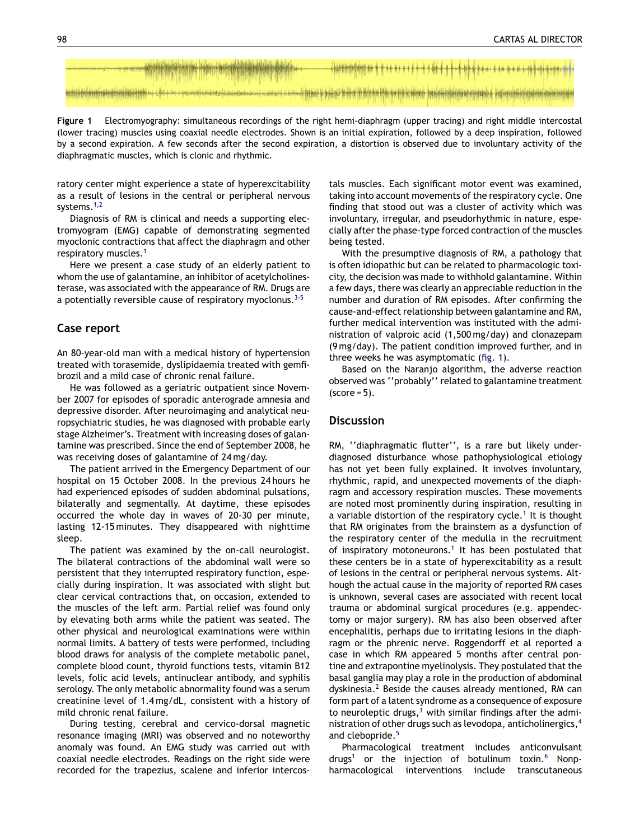

**Figure 1** Electromyography: simultaneous recordings of the right hemi-diaphragm (upper tracing) and right middle intercostal (lower tracing) muscles using coaxial needle electrodes. Shown is an initial expiration, followed by a deep inspiration, followed by a second expiration. A few seconds after the second expiration, a distortion is observed due to involuntary activity of the diaphragmatic muscles, which is clonic and rhythmic.

ratory center might experience a state of hyperexcitability as a result of lesions in the central or peripheral nervous systems.<sup>[1,2](#page-2-0)</sup>

Diagnosis of RM is clinical and needs a supporting electromyogram (EMG) capable of demonstrating segmented myoclonic contractions that affect the diaphragm and other respiratory muscles.[1](#page-2-0)

Here we present a case study of an elderly patient to whom the use of galantamine, an inhibitor of acetylcholinesterase, was associated with the appearance of RM. Drugs are a potentially reversible cause of respiratory myoclonus.  $3-5$ 

#### **Case report**

An 80-year-old man with a medical history of hypertension treated with torasemide, dyslipidaemia treated with gemfibrozil and a mild case of chronic renal failure.

He was followed as a geriatric outpatient since November 2007 for episodes of sporadic anterograde amnesia and depressive disorder. After neuroimaging and analytical neuropsychiatric studies, he was diagnosed with probable early stage Alzheimer's. Treatment with increasing doses of galantamine was prescribed. Since the end of September 2008, he was receiving doses of galantamine of 24 mg/day.

The patient arrived in the Emergency Department of our hospital on 15 October 2008. In the previous 24 hours he had experienced episodes of sudden abdominal pulsations, bilaterally and segmentally. At daytime, these episodes occurred the whole day in waves of 20-30 per minute, lasting 12-15 minutes. They disappeared with nighttime sleep.

The patient was examined by the on-call neurologist. The bilateral contractions of the abdominal wall were so persistent that they interrupted respiratory function, especially during inspiration. It was associated with slight but clear cervical contractions that, on occasion, extended to the muscles of the left arm. Partial relief was found only by elevating both arms while the patient was seated. The other physical and neurological examinations were within normal limits. A battery of tests were performed, including blood draws for analysis of the complete metabolic panel, complete blood count, thyroid functions tests, vitamin B12 levels, folic acid levels, antinuclear antibody, and syphilis serology. The only metabolic abnormality found was a serum creatinine level of 1.4 mg/dL, consistent with a history of mild chronic renal failure.

During testing, cerebral and cervico-dorsal magnetic resonance imaging (MRI) was observed and no noteworthy anomaly was found. An EMG study was carried out with coaxial needle electrodes. Readings on the right side were recorded for the trapezius, scalene and inferior intercostals muscles. Each significant motor event was examined, taking into account movements of the respiratory cycle. One finding that stood out was a cluster of activity which was involuntary, irregular, and pseudorhythmic in nature, especially after the phase-type forced contraction of the muscles being tested.

With the presumptive diagnosis of RM, a pathology that is often idiopathic but can be related to pharmacologic toxicity, the decision was made to withhold galantamine. Within a few days, there was clearly an appreciable reduction in the number and duration of RM episodes. After confirming the cause-and-effect relationship between galantamine and RM, further medical intervention was instituted with the administration of valproic acid (1,500 mg/day) and clonazepam (9 mg/day). The patient condition improved further, and in three weeks he was asymptomatic (fig. 1).

Based on the Naranjo algorithm, the adverse reaction observed was ''probably'' related to galantamine treatment  $(score = 5)$ .

### **Discussion**

RM, ''diaphragmatic flutter'', is a rare but likely underdiagnosed disturbance whose pathophysiological etiology has not yet been fully explained. It involves involuntary, rhythmic, rapid, and unexpected movements of the diaphragm and accessory respiration muscles. These movements are noted most prominently during inspiration, resulting in a variable distortion of the respiratory cycle.<sup>[1](#page-2-0)</sup> It is thought that RM originates from the brainstem as a dysfunction of the respiratory center of the medulla in the recruitment of inspiratory motoneurons.<sup>[1](#page-2-0)</sup> It has been postulated that these centers be in a state of hyperexcitability as a result of lesions in the central or peripheral nervous systems. Although the actual cause in the majority of reported RM cases is unknown, several cases are associated with recent local trauma or abdominal surgical procedures (e.g. appendectomy or major surgery). RM has also been observed after encephalitis, perhaps due to irritating lesions in the diaphragm or the phrenic nerve. Roggendorff et al reported a case in which RM appeared 5 months after central pontine and extrapontine myelinolysis. They postulated that the basal ganglia may play a role in the production of abdominal dyskinesia.<sup>[2](#page-2-0)</sup> Beside the causes already mentioned, RM can form part of a latent syndrome as a consequence of exposure to neuroleptic drugs, $3$  with similar findings after the administration of other drugs such as levodopa, anticholinergics,<sup>4</sup> and clebopride.<sup>[5](#page-2-0)</sup>

Pharmacological treatment includes anticonvulsant drugs<sup>[1](#page-2-0)</sup> or the injection of botulinum toxin.<sup>[6](#page-2-0)</sup> Nonpharmacological interventions include transcutaneous